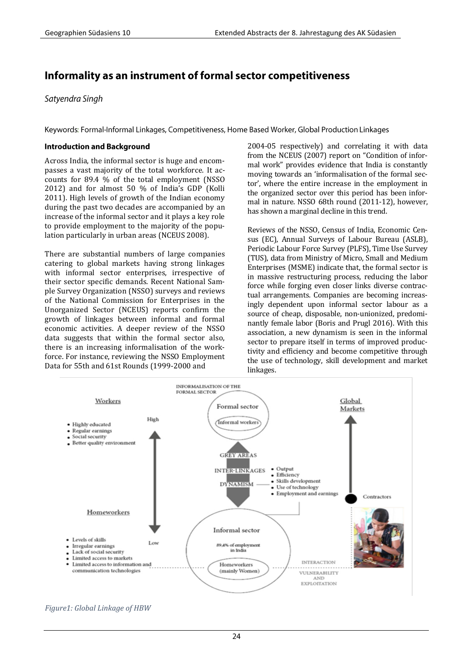# Informality as an instrument of formal sector competitiveness

Satyendra Singh

Keywords: Formal-Informal Linkages, Competitiveness, Home Based Worker, Global Production Linkages

### **Introduction and Background**

Across India, the informal sector is huge and encompasses a vast majority of the total workforce. It accounts for 89.4 % of the total employment (NSSO 2012) and for almost 50 % of India's GDP (Kolli 2011). High levels of growth of the Indian economy during the past two decades are accompanied by an increase of the informal sector and it plays a key role to provide employment to the majority of the population particularly in urban areas (NCEUS 2008).

There are substantial numbers of large companies catering to global markets having strong linkages with informal sector enterprises, irrespective of their sector specific demands. Recent National Sample Survey Organization (NSSO) surveys and reviews of the National Commission for Enterprises in the Unorganized Sector (NCEUS) reports confirm the growth of linkages between informal and formal economic activities. A deeper review of the NSSO data suggests that within the formal sector also, there is an increasing informalisation of the workforce. For instance, reviewing the NSSO Employment Data for 55th and 61st Rounds (1999-2000 and

2004-05 respectively) and correlating it with data from the NCEUS (2007) report on "Condition of informal work" provides evidence that India is constantly moving towards an 'informalisation of the formal sector', where the entire increase in the employment in the organized sector over this period has been informal in nature. NSSO 68th round (2011-12), however, has shown a marginal decline in this trend.

Reviews of the NSSO, Census of India, Economic Census (EC), Annual Surveys of Labour Bureau (ASLB), Periodic Labour Force Survey (PLFS), Time Use Survey (TUS), data from Ministry of Micro, Small and Medium Enterprises (MSME) indicate that, the formal sector is in massive restructuring process, reducing the labor force while forging even closer links diverse contractual arrangements. Companies are becoming increasingly dependent upon informal sector labour as a source of cheap, disposable, non-unionized, predominantly female labor (Boris and Prugl 2016). With this association, a new dynamism is seen in the informal sector to prepare itself in terms of improved productivity and efficiency and become competitive through the use of technology, skill development and market linkages.



*Figure1: Global Linkage of HBW*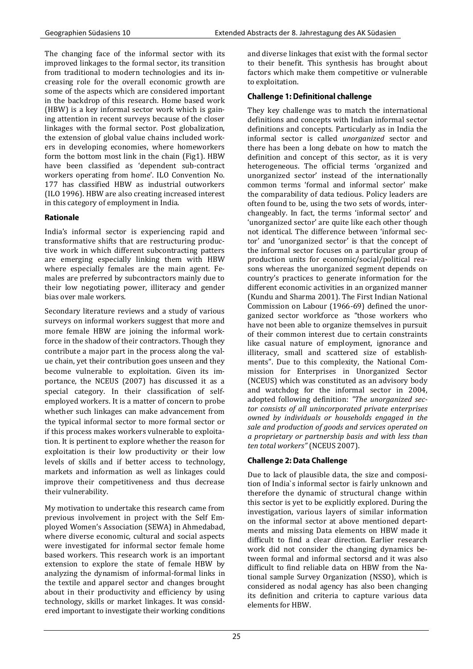The changing face of the informal sector with its improved linkages to the formal sector, its transition from traditional to modern technologies and its increasing role for the overall economic growth are some of the aspects which are considered important in the backdrop of this research. Home based work (HBW) is a key informal sector work which is gaining attention in recent surveys because of the closer linkages with the formal sector. Post globalization, the extension of global value chains included workers in developing economies, where homeworkers form the bottom most link in the chain (Fig1). HBW have been classified as 'dependent sub-contract workers operating from home'. ILO Convention No. 177 has classified HBW as industrial outworkers (ILO 1996). HBW are also creating increased interest in this category of employment in India.

## **Rationale**

India's informal sector is experiencing rapid and transformative shifts that are restructuring productive work in which different subcontracting patters are emerging especially linking them with HBW where especially females are the main agent. Females are preferred by subcontractors mainly due to their low negotiating power, illiteracy and gender bias over male workers.

Secondary literature reviews and a study of various surveys on informal workers suggest that more and more female HBW are joining the informal workforce in the shadow of their contractors. Though they contribute a major part in the process along the value chain, yet their contribution goes unseen and they become vulnerable to exploitation. Given its importance, the NCEUS (2007) has discussed it as a special category. In their classification of selfemployed workers. It is a matter of concern to probe whether such linkages can make advancement from the typical informal sector to more formal sector or if this process makes workers vulnerable to exploitation. It is pertinent to explore whether the reason for exploitation is their low productivity or their low levels of skills and if better access to technology, markets and information as well as linkages could improve their competitiveness and thus decrease their vulnerability.

My motivation to undertake this research came from previous involvement in project with the Self Employed Women's Association (SEWA) in Ahmedabad, where diverse economic, cultural and social aspects were investigated for informal sector female home based workers. This research work is an important extension to explore the state of female HBW by analyzing the dynamism of informal-formal links in the textile and apparel sector and changes brought about in their productivity and efficiency by using technology, skills or market linkages. It was considered important to investigate their working conditions and diverse linkages that exist with the formal sector to their benefit. This synthesis has brought about factors which make them competitive or vulnerable to exploitation.

## **Challenge 1: Definitional challenge**

They key challenge was to match the international definitions and concepts with Indian informal sector definitions and concepts. Particularly as in India the informal sector is called *unorganized* sector and there has been a long debate on how to match the definition and concept of this sector, as it is very heterogeneous. The official terms 'organized and unorganized sector' instead of the internationally common terms 'formal and informal sector' make the comparability of data tedious. Policy leaders are often found to be, using the two sets of words, interchangeably. In fact, the terms 'informal sector' and 'unorganized sector' are quite like each other though not identical. The difference between 'informal sector' and 'unorganized sector' is that the concept of the informal sector focuses on a particular group of production units for economic/social/political reasons whereas the unorganized segment depends on country's practices to generate information for the different economic activities in an organized manner (Kundu and Sharma 2001). The First Indian National Commission on Labour (1966-69) defined the unorganized sector workforce as "those workers who have not been able to organize themselves in pursuit of their common interest due to certain constraints like casual nature of employment, ignorance and illiteracy, small and scattered size of establishments". Due to this complexity, the National Commission for Enterprises in Unorganized Sector (NCEUS) which was constituted as an advisory body and watchdog for the informal sector in 2004, adopted following definition: *"The unorganized sector consists of all unincorporated private enterprises owned by individuals or households engaged in the sale and production of goods and services operated on a proprietary or partnership basis and with less than ten total workers"* (NCEUS 2007).

# **Challenge 2: Data Challenge**

Due to lack of plausible data, the size and composition of India`s informal sector is fairly unknown and therefore the dynamic of structural change within this sector is yet to be explicitly explored. During the investigation, various layers of similar information on the informal sector at above mentioned departments and missing Data elements on HBW made it difficult to find a clear direction. Earlier research work did not consider the changing dynamics between formal and informal sectorsd and it was also difficult to find reliable data on HBW from the National sample Survey Organization (NSSO), which is considered as nodal agency has also been changing its definition and criteria to capture various data elements for HBW.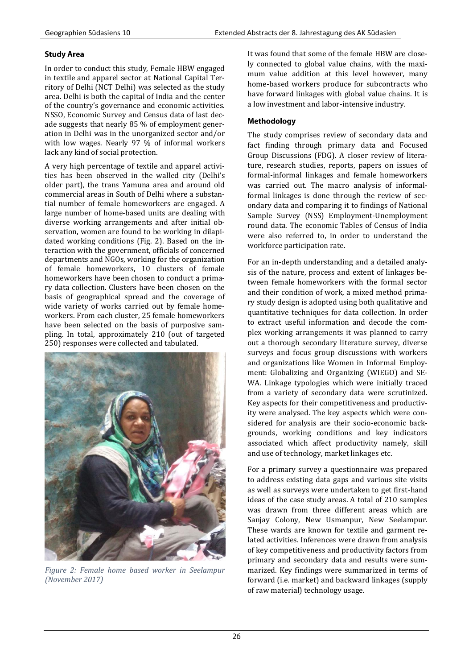## **Study Area**

In order to conduct this study, Female HBW engaged in textile and apparel sector at National Capital Territory of Delhi (NCT Delhi) was selected as the study area. Delhi is both the capital of India and the center of the country's governance and economic activities. NSSO, Economic Survey and Census data of last decade suggests that nearly 85 % of employment generation in Delhi was in the unorganized sector and/or with low wages. Nearly 97 % of informal workers lack any kind of social protection.

A very high percentage of textile and apparel activities has been observed in the walled city (Delhi's older part), the trans Yamuna area and around old commercial areas in South of Delhi where a substantial number of female homeworkers are engaged. A large number of home-based units are dealing with diverse working arrangements and after initial observation, women are found to be working in dilapidated working conditions (Fig. 2). Based on the interaction with the government, officials of concerned departments and NGOs, working for the organization of female homeworkers, 10 clusters of female homeworkers have been chosen to conduct a primary data collection. Clusters have been chosen on the basis of geographical spread and the coverage of wide variety of works carried out by female homeworkers. From each cluster, 25 female homeworkers have been selected on the basis of purposive sampling. In total, approximately 210 (out of targeted 250) responses were collected and tabulated.



*Figure 2: Female home based worker in Seelampur (November 2017)*

It was found that some of the female HBW are closely connected to global value chains, with the maximum value addition at this level however, many home-based workers produce for subcontracts who have forward linkages with global value chains. It is a low investment and labor-intensive industry.

# **Methodology**

The study comprises review of secondary data and fact finding through primary data and Focused Group Discussions (FDG). A closer review of literature, research studies, reports, papers on issues of formal-informal linkages and female homeworkers was carried out. The macro analysis of informalformal linkages is done through the review of secondary data and comparing it to findings of National Sample Survey (NSS) Employment-Unemployment round data. The economic Tables of Census of India were also referred to, in order to understand the workforce participation rate.

For an in-depth understanding and a detailed analysis of the nature, process and extent of linkages between female homeworkers with the formal sector and their condition of work, a mixed method primary study design is adopted using both qualitative and quantitative techniques for data collection. In order to extract useful information and decode the complex working arrangements it was planned to carry out a thorough secondary literature survey, diverse surveys and focus group discussions with workers and organizations like Women in Informal Employment: Globalizing and Organizing (WIEGO) and SE-WA. Linkage typologies which were initially traced from a variety of secondary data were scrutinized. Key aspects for their competitiveness and productivity were analysed. The key aspects which were considered for analysis are their socio-economic backgrounds, working conditions and key indicators associated which affect productivity namely, skill and use of technology, market linkages etc.

For a primary survey a questionnaire was prepared to address existing data gaps and various site visits as well as surveys were undertaken to get first-hand ideas of the case study areas. A total of 210 samples was drawn from three different areas which are Sanjay Colony, New Usmanpur, New Seelampur. These wards are known for textile and garment related activities. Inferences were drawn from analysis of key competitiveness and productivity factors from primary and secondary data and results were summarized. Key findings were summarized in terms of forward (i.e. market) and backward linkages (supply of raw material) technology usage.